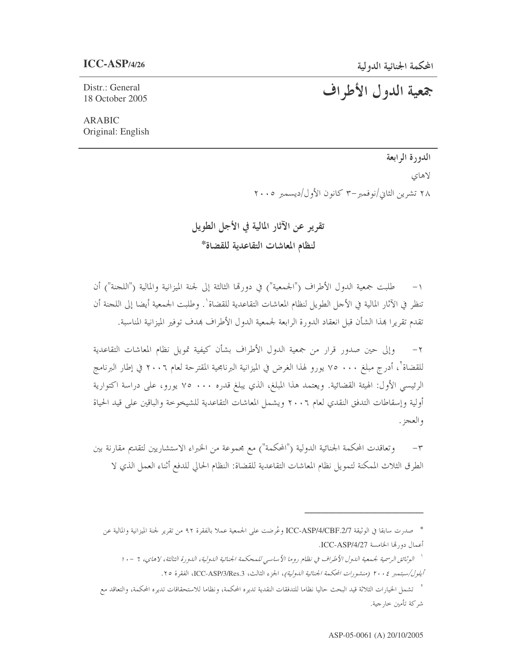# جمعية الدول الأطراف

Distr.: General 18 October 2005

**ARABIC** Original: English

الدورة الرابعة

لاهاي

٢٨ تشرين الثاني/نوفمبر –٣ كانون الأول/ديسمبر ٢٠٠٥

تقرير عن الآثار المالية في الأجل الطويل لنظام المعاشات التقاعدية للقضاة\*

١– طلبت جمعية الدول الأطراف ("الجمعية") في دورتما الثالثة إلى لجنة الميزانية والمالية ("اللجنة") أن تنظر في الآثار المالية في الأحل الطويل لنظام المعاشات التقاعدية للقضاة`. وطلبت الجمعية أيضا إلى اللجنة أن تقدم تقريرًا هذا الشأن قبل انعقاد الدورة الرابعة لجمعية الدول الأطراف هدف توفير الميزانية المناسبة.

وإلى حين صدور قرار من جمعية الدول الأطراف بشأن كيفية تمويل نظام المعاشات التقاعدية  $-\gamma$ للقضاة ّ ، أدرج مبلغ ٧٠٠ م٧ يورو لهذا الغرض في الميزانية البرنامجية المقترحة لعام ٢٠٠٦ في إطار البرنامج الرئيسي الأول: الهيئة القضائية. ويعتمد هذا المبلغ، الذي يبلغ قدره ٧٠٠ ، ٧٥ يورو، على دراسة اكتوارية أولية وإسقاطات التدفق النقدي لعام ٢٠٠٦ ويشمل المعاشات التقاعدية للشيخوخة والباقين على قيد الحياة و العجز .

وتعاقدت المحكمة الجنائية الدولية ("المحكمة") مع مجموعة من الخبراء الاستشاريين لتقديم مقارنة بين  $-1$ الطرق الثلاث الممكنة لتمويل نظام المعاشات التقاعدية للقضاة: النظام الحالي للدفع أثناء العمل الذي لا

`` الوثائق الرسمية لجمعية الدول الأطراف في نظام روما الأساسي للمحكمة الجنائية الدولية، الدورة الثالثة، لاهاي، ٦ – ١٠ أيلول/سبتمبر ٢٠٠٤ (منشورات المحكمة الجنائية اللهولية)، الجزء الثالث، ICC-ASP/3/Res.3، الفقرة ٢٥.

٢ تشمل الخيارات الثلاثة قيد البحث حاليا نظاما للتدفقات النقدية تديره المحكمة، ونظاما للاستحقاقات تديره المحكمة، والتعاقد مع شركة تأمين خارجية.

<sup>\*</sup> صدرت سابقا في الوثيقة ICC-ASP/4/CBF.2/7 وعُرضت على الجمعية عملا بالفقرة ٩٢ من تقرير لجنة الميزانية والمالية عن أعمال دو, لها الخامسة ICC-ASP/4/27.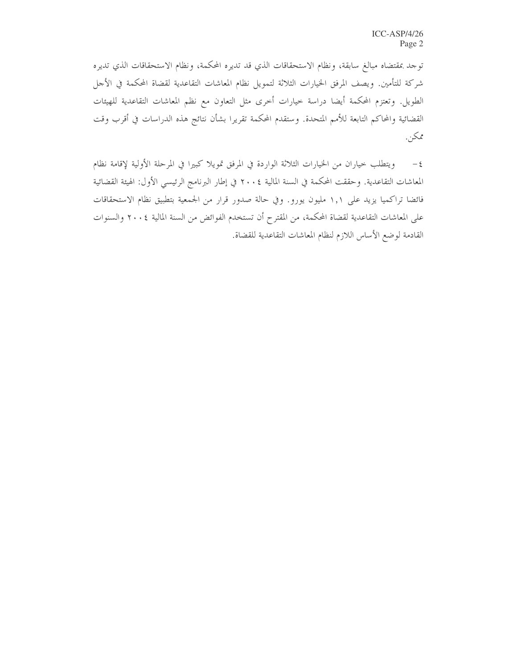توجد بمقتضاه مبالغ سابقة، ونظام الاستحقاقات الذي قد تديره المحكمة، ونظام الاستحقاقات الذي تديره شركة للتأمين. ويصف المرفق الخيارات الثلاثة لتمويل نظام المعاشات التقاعدية لقضاة المحكمة في الأجل الطويل. وتعتزم المحكمة أيضا دراسة خيارات أخرى مثل التعاون مع نظم المعاشات التقاعدية للهيئات القضائية والمحاكم التابعة للأمم المتحدة. وستقدم المحكمة تقريرا بشأن نتائج هذه الدراسات في أقرب وقت ممكن.

ويتطلب حياران من الحيارات الثلاثة الواردة في المرفق تمويلا كبيرا في المرحلة الأولية لإقامة نظام  $-\xi$ المعاشات التقاعدية. وحققت المحكمة في السنة المالية ٢٠٠٤ في إطار البرنامج الرئيسي الأول: الهيئة القضائية فائضا تراكميا يزيد على ١,١ مليون يورو. وفي حالة صدور قرار من الجمعية بتطبيق نظام الاستحقاقات على المعاشات التقاعدية لقضاة المحكمة، من المقترح أن تستخدم الفوائض من السنة المالية ٢٠٠٤ والسنوات القادمة لوضع الأساس اللازم لنظام المعاشات التقاعدية للقضاة.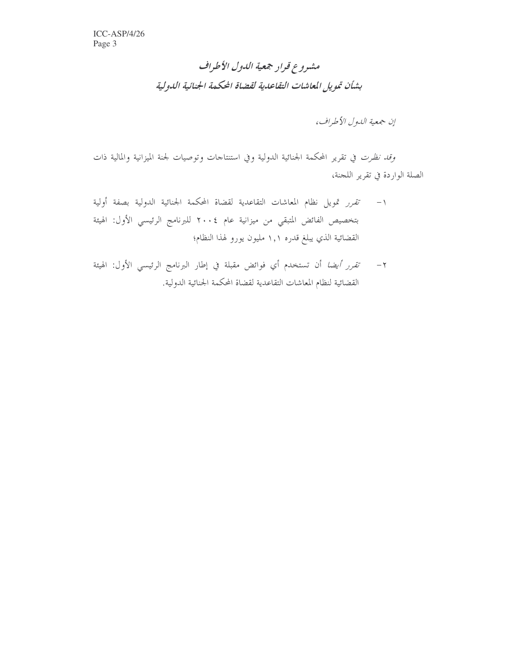# مشروع قرار جمعية الدول الأطراف بشأن تمويل المعاشات التقاعدية لقضاة الحكمة الجنائية الدولية

إن جمعية اللهول الأطراف،

وقد نظرت في تقرير المحكمة الجنائية الدولية وفي استنتاجات وتوصيات لجنة الميزانية والمالية ذات الصلة الواردة في تقرير اللجنة،

- ١- تقرر تمويل نظام المعاشات التقاعدية لقضاة المحكمة الجنائية الدولية بصفة أولية بتخصيص الفائض المتبقي من ميزانية عام ٢٠٠٤ للبرنامج الرئيسي الأول: الهيئة القضائية الذي يبلغ قدره ١,١ مليون يورو لهذا النظام؛
- ٢ *تقرر أيضا* أن تستخدم أي فوائض مقبلة في إطار البرنامج الرئيسي الأول: الهيئة القضائية لنظام المعاشات التقاعدية لقضاة المحكمة الجنائية الدولية.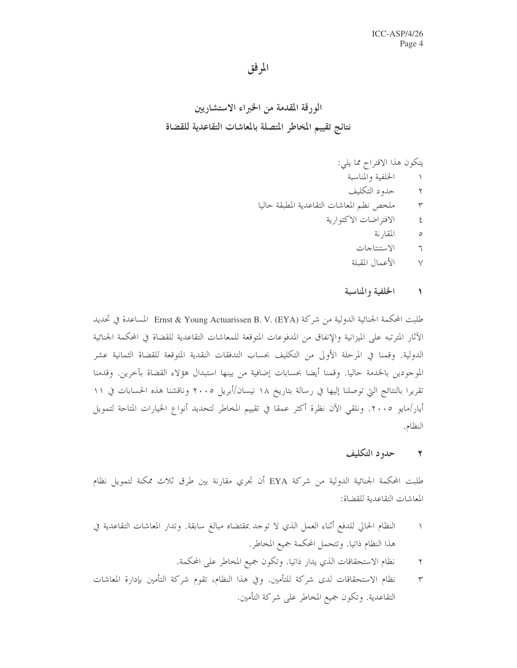# المرفق

- الخلفية والمناسبة  $\backslash$
- حدود التكليف  $\blacktriangledown$
- ملخص نظم المعاشات التقاعدية المطبقة حاليا  $\mathbf{r}$ 
	- الافتراضات الاكتوارية  $\epsilon$ 
		- المقارنة  $\circ$
		- الاستنتاجات  $\daleth$
		- الأعمال المقبلة  $\vee$

#### الخلفية والمناسبة  $\rightarrow$

طلبت المحكمة الجنائية الدولية من شركة Ernst & Young Actuarissen B. V. (EYA) المساعدة في تحديد الآثار المترتبه على الميزانية والإنفاق من المدفوعات المتوقعة للمعاشات التقاعدية للقضاة في المحكمة الجنائية الدولية. وقمنا في المرحلة الأولى من التكليف بحساب التدفقات النقدية المتوقعة للقضاة الثمانية عشر الموجودين بالحٰدمة حاليا. وقمنا أيضا بحسابات إضافية من بينها استبدال هؤلاء القضاة بآخرين. وقدمنا تقريرًا بالنتائج التي توصلنا إليها في رسالة بتاريخ ١٨ نيسان/أبريل ٢٠٠٥ وناقشنا هذه الحسابات في ١١ أيار/مايو ٢٠٠٥. ونلقى الآن نظرة أكثر عمقا في تقييم المخاطر لتحديد أنواع الخيارات المتاحة لتمويل النظام.

#### حدود التكليف  $\mathbf{r}$

طلبت المحكمة الجنائية الدولية من شركة EYA أن تجري مقارنة بين طرق ثلاث ممكنة لتمويل نظام المعاشات التقاعدية للقضاة:

- النظام الحالي للدفع أثناء العمل الذي لا توحد بمقتضاه مبالغ سابقة. وتدار المعاشات التقاعدية في  $\rightarrow$ هذا النظام ذاتيا. وتتحمل المحكمة جميع المخاطر.
	- نظام الاستحقاقات الذي يدارٍ ذاتياً. وتكون جميع المخاطر على المحكمة.  $\blacktriangledown$
- نظام الاستحقاقات لدى شركة للتأمين. وفي هذا النظام، تقوم شركة التأمين بإدارة المعاشات  $\mathbf{r}$ التقاعدية. وتكون جميع المخاطر على شركة التأمين.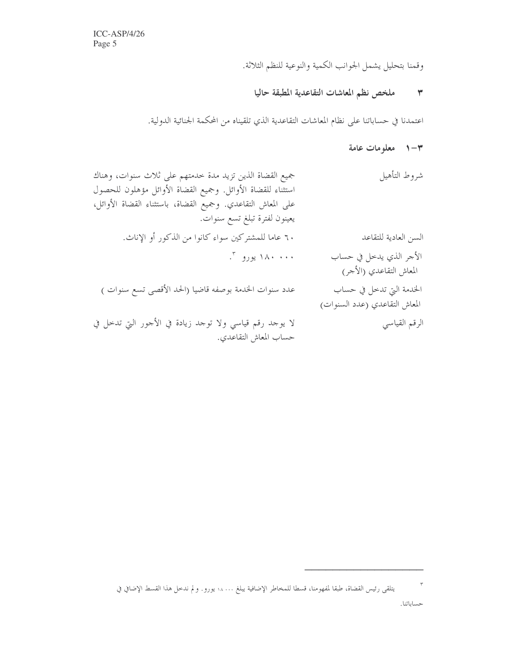وقمنا بتحليل يشمل الجوانب الكمية والنوعية للنظم الثلاثة.

# ٣ ملخص نظم المعاشات التقاعدية المطبقة حاليا

اعتمدنا في حساباتنا على نظام المعاشات التقاعدية الذي تلقيناه من المحكمة الجنائية الدولية.

# - المعلومات عامة + - ا

| شروط التأهيل                                              | جميع القضاة الذين تزيد مدة حدمتهم على ثلاث سنوات، وهناك<br>استثناء للقضاة الأوائل. وجميع القضاة الأوائل مؤهلون للحصول<br>على المعاش التقاعدي. وجميع القضاة، باستثناء القضاة الأوائل،<br>يعينون لفترة تبلغ تسع سنوات. |
|-----------------------------------------------------------|----------------------------------------------------------------------------------------------------------------------------------------------------------------------------------------------------------------------|
| السن العادية للتقاعد                                      | ٦٠ عاما للمشتركين سواء كانوا من الذكور أو الإناث.                                                                                                                                                                    |
| الأجر الذي يدخل في حساب<br>المعاش التقاعدي (الأحر)        | ۱۸۰ ۱۸۰ یورو ۳.                                                                                                                                                                                                      |
| الخدمة التي تدخل في حساب<br>المعاش التقاعدي (عدد السنوات) | عدد سنوات الخدمة بوصفه قاضيا (الحد الأقصى تسع سنوات )                                                                                                                                                                |
| الرقم القياسي                                             | لا يوجد رقم قياسي ولا توحد زيادة في الأحور التي تدخل في<br>حساب المعاش التقاعدي.                                                                                                                                     |

 $\mathbf{r}$ يتلقى رئيس القضاة، طبقا لمفهومنا، قسطا للمخاطر الإضافية يبلغ ١٨٠٠٠ يورو. ولم ندخل هذا القسط الإضافي في حساباتنا.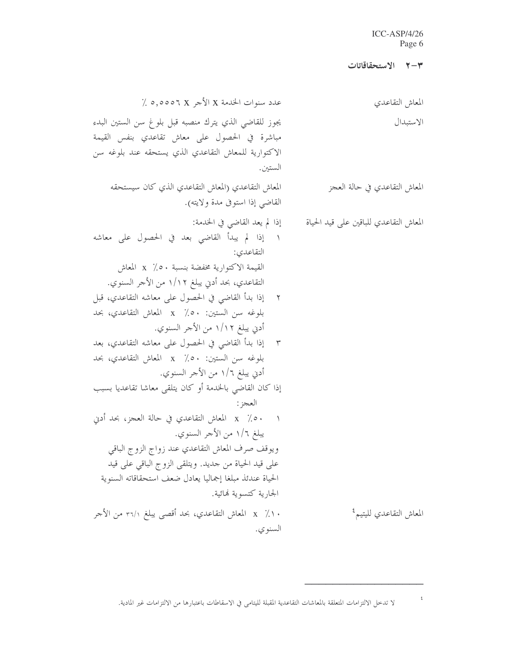### ICC-ASP/4/26 Page 6

|                                                                                                                                                                                                                                                                                                                                                                                                                                                                                                                                                                                                                                                                                                                                                                                                                                      | ٣-٣ الاستحقاقاتات                      |
|--------------------------------------------------------------------------------------------------------------------------------------------------------------------------------------------------------------------------------------------------------------------------------------------------------------------------------------------------------------------------------------------------------------------------------------------------------------------------------------------------------------------------------------------------------------------------------------------------------------------------------------------------------------------------------------------------------------------------------------------------------------------------------------------------------------------------------------|----------------------------------------|
| عدد سنوات الخدمة X الأجر X 0,000 ٪                                                                                                                                                                                                                                                                                                                                                                                                                                                                                                                                                                                                                                                                                                                                                                                                   | المعاش التقاعدي                        |
| يجوز للقاضي الذي يترك منصبه قبل بلوغ سن الستين البدء<br>مباشرة في الحصول على معاش تقاعدي بنفس القيمة<br>الاكتوارية للمعاش التقاعدي الذي يستحقه عند بلوغه سن<br>الستين.                                                                                                                                                                                                                                                                                                                                                                                                                                                                                                                                                                                                                                                               | الاستبدال                              |
| المعاش التقاعدي (المعاش التقاعدي الذي كان سيستحقه<br>القاضي إذا استوفى مدة ولايته).                                                                                                                                                                                                                                                                                                                                                                                                                                                                                                                                                                                                                                                                                                                                                  | المعاش التقاعدي في حالة العجز          |
| إذا لم يعد القاضي في الخدمة:<br>١ إذا لم يبدأ القاضي بعد في الحصول على معاشه<br>التقاعدي:<br>القيمة الاكتوارية مخفضة بنسبة ×0٪ x المعاش<br>التقاعدي، بحد أدني يبلغ ١/١٢ من الأجر السنوي.<br>٢    إذا بدأ القاضي في الحصول على معاشه التقاعدي، قبل<br>بلوغه سن الستين: 0.0٪ x المعاش التقاعدي، بحد<br>أدني يبلغ ١/١٢ من الأحر السنوي.<br>٣ - إذا بدأ القاضي في الحصول على معاشه التقاعدي، بعد<br>بلوغه سن الستين: 0. x / x المعاش التقاعدي، بحد<br>أدني يبلغ ١/٦ من الأجر السنوي.<br>إذا كان القاضي بالخدمة أو كان يتلقى معاشا تقاعديا بسبب<br>العجز :<br>× 0٪ x المعاش التقاعدي في حالة العجز، بحد أدني<br>يبلغ ١/٦ من الأجر السنوي.<br>ويوقف صرف المعاش التقاعدي عند زواج الزوج الباقبي<br>على قيد الحياة من حديد. ويتلقى الزوج الباقي على قيد<br>الحياة عندئذ مبلغا إجماليا يعادل ضعف استحقاقاته السنوية<br>الجارية كتسوية فمائية. | المعاش التقاعدي للباقين على قيد الحياة |
| × ١٪   x   المعاش التقاعدي، بحد أقصى يبلغ ٣٦/١ من الأحر<br>السنو ي.                                                                                                                                                                                                                                                                                                                                                                                                                                                                                                                                                                                                                                                                                                                                                                  | المعاش التقاعدي لليتيم <sup>؟</sup>    |

لا تدخل الالتزامات المتعلقة بالمعاشات التقاعدية المقبلة لليتامى في الاسقاطات باعتبارها من الالتزامات غير المادية.

 $\epsilon$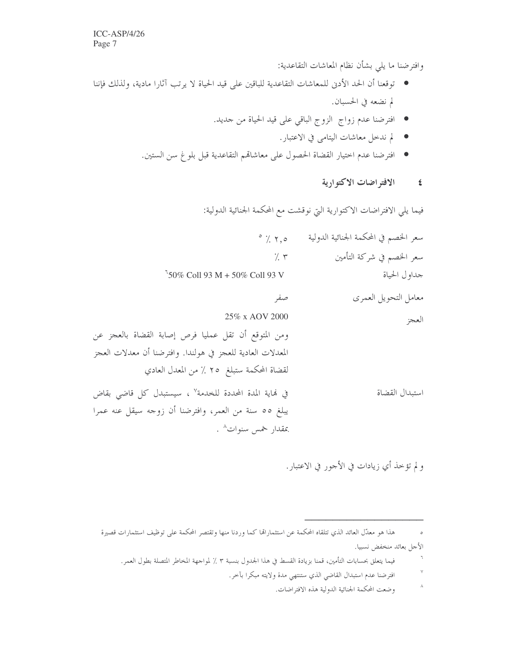وافترضنا ما يلي بشأن نظام المعاشات التقاعدية:

- توقعنا أن الحد الأدنى للمعاشات التقاعدية للباقين على قيد الحياة لا يرتب آثارا مادية، ولذلك فإننا لم نضعه في الحسبان.
	- افترضنا عدم زواج الزوج الباقي على قيد الحياة من حديد.
		- لم ندخل معاشات اليتامي في الاعتبار.
	- افترضنا عدم اختيار القضاة الحصول على معاشاقم التقاعدية قبل بلوغ سن الستين.

**٤** الافتراضات الاكتوارية

فيما يلي الافتراضات الاكتوارية التي نوقشت مع المحكمة الجنائية الدولية:

| سعر الخصم في المحكمة الجنائية الدولية | $\circ$ $\frac{1}{2}$ $\uparrow$ , $\circ$                        |
|---------------------------------------|-------------------------------------------------------------------|
| سعر الخصم في شركة التأمين             | $\gamma$ . $\tau$                                                 |
| جداول الحياة                          | $50\%$ Coll 93 M + 50% Coll 93 V                                  |
| معامل التحويل العمرى                  | صفر                                                               |
| العجز                                 | 25% x AOV 2000                                                    |
|                                       | ومن المتوقع أن تقل عمليا فرص إصابة القضاة بالعجز عن               |
|                                       | المعدلات العادية للعجز في هولندا. وافترضنا أن معدلات العجز        |
|                                       | لقضاة المحكمة ستبلغ ٢٥ ٪ من المعدل العادي                         |
| استبدال القضاة                        | في لهاية المدة المحددة للخدمة <sup>٧</sup> ، سيستبدل كل قاضى بقاض |
|                                       | يبلغ ٥٥ سنة من العمر، وافترضنا أن زوجه سيقل عنه عمرا              |
|                                       | بمقدار خمس سنوات^ .                                               |
|                                       |                                                                   |

ولم تؤخذ أي زيادات في الأحور في الاعتبار.

هذا هو معدّل العائد الذي تتلقاه المحكمة عن استثماراتما كما وردنا منها وتقتصر المحكمة على توظيف استثمارات قصيرة  $\circ$ الأجل بعائد منخفض نسبيا.

- $\mathbf{r}$ فيما يتعلق بحسابات التأمين، قمنا بزيادة القسط في هذا الجدول بنسبة ٣ ٪ لمواجهة المخاطر المتصلة بطول العمر.
	- $\lor$ افترضنا عدم استبدال القاضي الذي ستنتهي مدة ولايته مبكرا بأحر.
		- $\lambda$ وضعت المحكمة الجنائية الدولية هذه الافتراضات.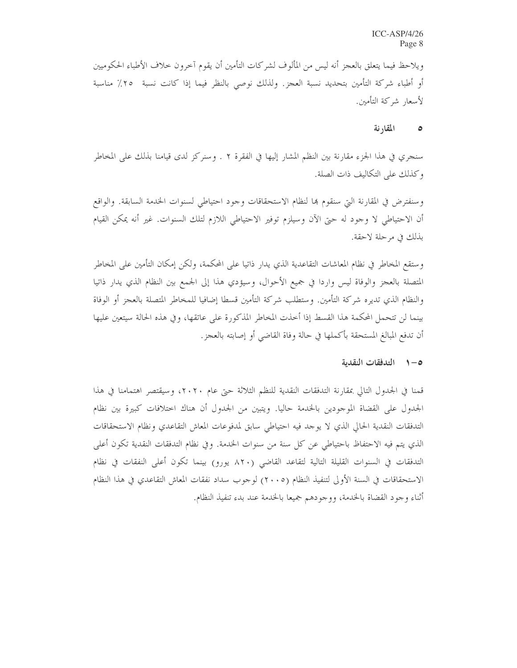ويلاحظ فيما يتعلق بالعجز أنه ليس من المألوف لشركات التأمين أن يقوم آخرون حلاف الأطباء الحكوميين أو أطباء شركة التأمين بتحديد نسبة العجز. ولذلك نوصى بالنظر فيما إذا كانت نسبة ٢٥٪ مناسبة لأسعار شركة التأمين.

#### المقارنة  $\bullet$

سنجري في هذا الجزء مقارنة بين النظم المشار إليها في الفقرة ٢ . وسنركز لدى قيامنا بذلك على المخاطر وكذلك على التكاليف ذات الصلة.

وسنفترض في المقارنة التي سنقوم بما لنظام الاستحقاقات وحود احتياطي لسنوات الخدمة السابقة. والواقع أن الاحتياطي لا وجود له حتى الآن وسيلزم توفير الاحتياطي اللازم لتلك السنوات. غير أنه يمكن القيام بذلك في مرحلة لاحقة.

وستقع المخاطر في نظام المعاشات التقاعدية الذي يدار ذاتيا على المحكمة، ولكن إمكان التأمين على المخاطر المتصلة بالعجز والوفاة ليس واردا في جميع الأحوال، وسيؤدي هذا إلى الجمع بين النظام الذي يدار ذاتيا والنظام الذي تديره شركة التأمين. وستطلب شركة التأمين قسطا إضافيا للمخاطر المتصلة بالعجز أو الوفاة بينما لن تتحمل المحكمة هذا القسط إذا أحذت المخاطر المذكورة على عاتقها، وفي هذه الحالة سيتعين عليها أن تدفع المبالغ المستحقة بأكملها في حالة وفاة القاضي أو إصابته بالعجز.

### 0-1 التدفقات النقدية

قمنا في الجدول التالي بمقارنة التدفقات النقدية للنظم الثلاثة حتى عام ٢٠٢٠، وسيقتصر اهتمامنا في هذا الجدول على القضاة الموجودين بالخدمة حاليا. ويتبين من الجدول أن هناك اختلافات كبيرة بين نظام التدفقات النقدية الحالي الذي لا يوحد فيه احتياطي سابق لمدفوعات المعاش التقاعدي ونظام الاستحقاقات الذي يتم فيه الاحتفاظ باحتياطي عن كل سنة من سنوات الخدمة. وفي نظام التدفقات النقدية تكون أعلى التدفقات في السنوات القليلة التالية لتقاعد القاضي (٨٢٠ يورو) بينما تكون أعلى النفقات في نظام الاستحقاقات في السنة الأولى لتنفيذ النظام (٢٠٠٥) لوجوب سداد نفقات المعاش التقاعدي في هذا النظام أثناء وجود القضاة بالحدمة، ووجودهم جميعا بالحدمة عند بدء تنفيذ النظام.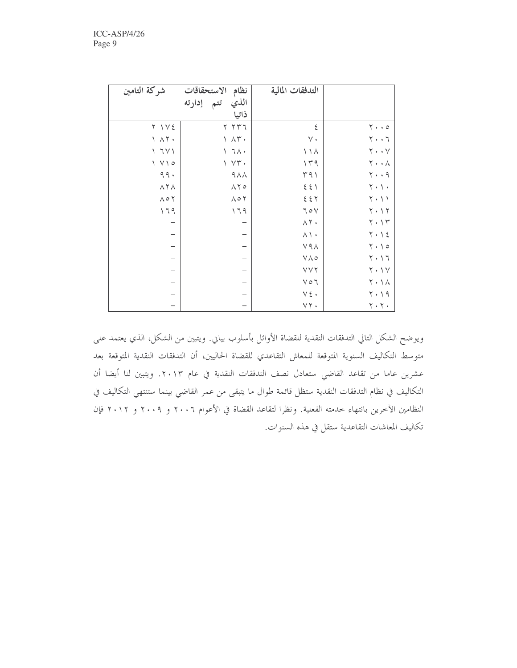| شركة التامين                  | الاستحقاقات<br>نظام        | التدفقات المالية          |                                      |
|-------------------------------|----------------------------|---------------------------|--------------------------------------|
|                               | الذي<br>تتم إدارته         |                           |                                      |
|                               | ذاتيا                      |                           |                                      |
| $Y \setminus V \xi$           | $Y Y Y 1$                  | ٤                         | $\mathbf{y} \cdot \cdot \mathbf{z}$  |
| $\lambda$ $\lambda$ $\lambda$ | $\wedge \wedge \Upsilon$ . | $\vee$ .                  | $7 + 7$                              |
| $\sqrt{111}$                  | $\setminus$ $7\land\cdot$  | $\wedge \wedge$           | $\mathbf{Y} \cdot \cdot \mathbf{Y}$  |
| $\sqrt{V}$                    | $\gamma \gamma +$          | 149                       | $\mathbf{Y} \cdot \cdot \mathbf{A}$  |
| $\gamma$ $\gamma$ .           | $9\AA\AA$                  | 491                       | $\mathbf{y} \cdot \mathbf{y}$        |
| $\wedge$ $\wedge$             | $\wedge \Upsilon$          | $\xi$<br>$\xi$ $\uparrow$ | $\mathbf{Y} \cdot \mathbf{Y} \cdot$  |
| $\wedge \circ \curlyvee$      | $\wedge \circ \curlyvee$   | 557                       | $\mathbf{Y} \cdot \mathbf{Y}$        |
| 179                           | 179                        | 70V                       | $Y \cdot Y$                          |
|                               |                            | $\wedge$ $\uparrow$ .     | $\mathbf{Y} \cdot \mathbf{Y}$        |
|                               | -                          | $\wedge \wedge \cdot$     | $Y \cdot Y$                          |
| $\overline{\phantom{0}}$      | -                          | $Y9\Lambda$               | $\gamma \cdot \gamma$                |
| $\qquad \qquad -$             | $\overline{\phantom{0}}$   | $V \wedge \circ$          | $7 \cdot 17$                         |
| $\qquad \qquad -$             | -                          | YYY                       | $\mathbf{Y} \cdot \mathbf{Y}$        |
| $\qquad \qquad -$             | —                          | $\lor \circ \urcorner$    | $\mathbf{Y} \cdot \mathbf{1} \wedge$ |
| $\overline{\phantom{0}}$      |                            | $\vee\, \xi$ .            | ۲۰۱۹                                 |
|                               |                            | $\lor \curlyvee$ .        | $\mathbf{y} \cdot \mathbf{y}$ .      |

ويوضح الشكل التالي التدفقات النقدية للقضاة الأوائل بأسلوب بياني. ويتبين من الشكل، الذي يعتمد على متوسط التكاليف السنوية المتوقعة للمعاش التقاعدي للقضاة الحاليين، أن التدفقات النقدية المتوقعة بعد عشرين عاما من تقاعد القاضي ستعادل نصف التدفقات النقدية في عام ٢٠١٣. ويتبين لنا أيضا أن التكاليف في نظام التدفقات النقدية ستظل قائمة طوال ما يتبقى من عمر القاضي بينما ستنتهي التكاليف في النظامين الآخرين بانتهاء خدمته الفعلية. ونظرا لتقاعد القضاة في الأعوام ٢٠٠٦ و ٢٠٠٩ و ٢٠١٢ فإن تكاليف المعاشات التقاعدية ستقل في هذه السنوات.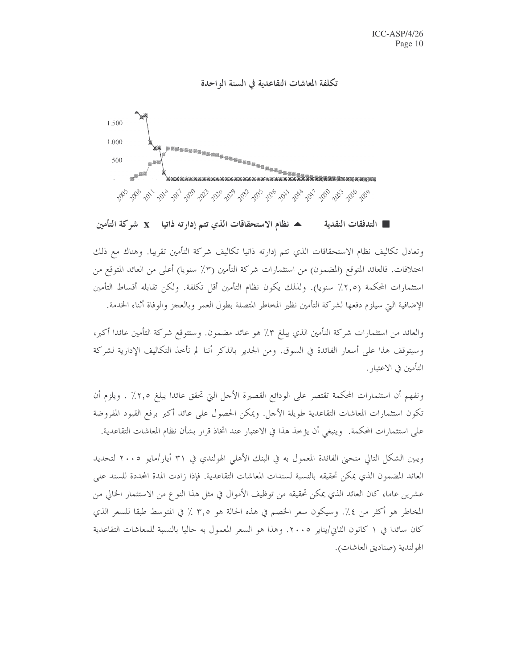### تكلفة المعاشات التقاعدية في السنة الواحدة



▲ نظام الاستحقاقات الذي تتم إدارته ذاتيا X شركة التأمين ■ التدفقات النقدية

وتعادل تكاليف نظام الاستحقاقات الذي تتم إدارته ذاتيا تكاليف شركة التأمين تقريبا. وهناك مع ذلك اختلافات. فالعائد المتوقع (المضمون) من استثمارات شركة التأمين (٣٪ سنويا) أعلى من العائد المتوقع من استثمارات المحكمة (٢,٥٪ سنويا). ولذلك يكون نظام التأمين أقل تكلفة. ولكن تقابله أقساط التأمين الإضافية التي سيلزم دفعها لشركة التأمين نظير المخاطر المتصلة بطول العمر وبالعجز والوفاة أثناء الخدمة.

والعائد من استثمارات شركة التأمين الذي يبلغ ٣٪ هو عائد مضمون. وستتوقع شركة التأمين عائدا أكبر، وسيتوقف هذا على أسعار الفائدة في السوق. ومن الجدير بالذكر أننا لم نأحذ التكاليف الإدارية لشركة التأمين في الاعتبار .

ونفهم أن استثمارات المحكمة تقتصر على الودائع القصيرة الأحل التي تحقق عائدا يبلغ ٢,٥٪ . ويلزم أن تكون استثمارات المعاشات التقاعدية طويلة الأجل. ويمكن الحصول على عائد أكبر برفع القيود المفروضة على استثمارات المحكمة. ۖ وينبغي أن يؤخذ هذا في الاعتبار عند اتخاذ قرار بشأن نظام المعاشات التقاعدية.

ويبين الشكل التالي منحيي الفائدة المعمول به في البنك الأهلي الهولندي في ٣١ أيار/مايو ٢٠٠٥ لتحديد العائد المضمون الذي يمكن تحقيقه بالنسبة لسندات المعاشات التقاعدية. فإذا زادت المدة المحددة للسند على عشرين عاما، كان العائد الذي يمكن تحقيقه من توظيف الأموال في مثل هذا النوع من الاستثمار الخالي من المخاطر هو أكثر من ٤٪. وسيكون سعر الخصم في هذه الحالة هو ٣,٥ ٪ في المتوسط طبقا للسعر الذي كان سائدا في ١ كانون الثاني/يناير ٢٠٠٥. وهذا هو السعر المعمول به حاليا بالنسبة للمعاشات التقاعدية الهولندية (صناديق العاشات).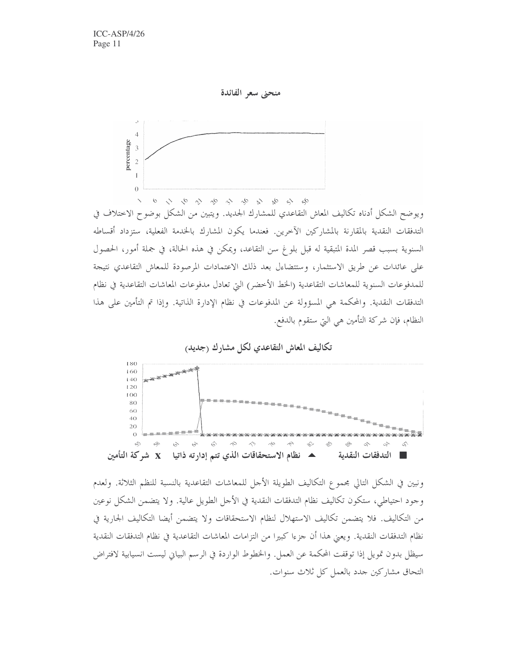

ويوضح الشكل أدناه تكاليف المعاش التقاعدي للمشارك الجديد. ويتبين من الشكل بوضوح الاختلاف في التدفقات النقدية بالمقارنة بالمشاركين الآخرين. فعندما يكون المشارك بالخدمة الفعلية، ستزداد أقساطه السنوية بسبب قصر المدة المتبقية له قبل بلوغ سن التقاعد، ويمكن في هذه الحالة، في جملة أمور، الحصول على عائدات عن طريق الاستثمار، وستتضاءل بعد ذلك الاعتمادات المرصودة للمعاش التقاعدي نتيجة للمدفوعات السنوية للمعاشات التقاعدية (الخط الأخضر) التي تعادل مدفوعات المعاشات التقاعدية في نظام التدفقات النقدية. والمحكمة هي المسؤولة عن المدفوعات في نظام الإدارة الذاتية. وإذا تم التأمين على هذا النظام، فإن شركة التأمين هي التي ستقوم بالدفع.





ونبين في الشكل التالي مجموع التكاليف الطويلة الأجل للمعاشات التقاعدية بالنسبة للنظم الثلاثة. ولعدم وجود احتياطي، ستكون تكاليف نظام التدفقات النقدية في الأحل الطويل عالية. ولا يتضمن الشكل نوعين من التكاليف. فلا يتضمن تكاليف الاستهلال لنظام الاستحقاقات ولا يتضمن أيضا التكاليف الجارية في نظام التدفقات النقدية. ويعني هذا أن جزءا كبيرا من التزامات المعاشات التقاعدية في نظام التدفقات النقدية سيظل بدون تمويل إذا توقفت المحكمة عن العمل. والخطوط الواردة في الرسم البياني ليست انسيابية لافتراض التحاق مشاركين جدد بالعمل كل ثلاث سنوات.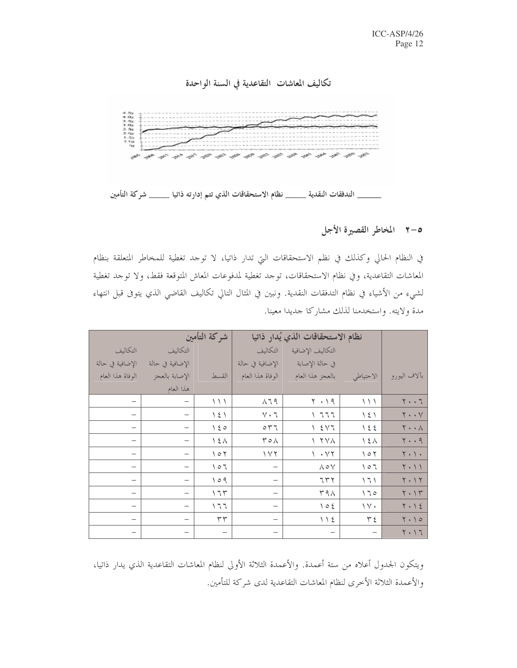



\_\_\_\_ التدفقات النقدية \_\_\_\_\_ نظام الاستحقاقات الذي تتم إدارته ذاتيا \_\_\_\_\_ شركة التأمين

# ٥-٢ المخاطر القصيرة الأجل

في النظام الحالي وكذلك في نظم الاستحقاقات التي تدار ذاتيا، لا توحد تغطية للمخاطر المتعلقة بنظام المعاشات التقاعدية، وفي نظام الاستحقاقات، توحد تغطية لمدفوعات المعاش المتوقعة فقط، ولا توحد تغطية لشيء من الأشياء في نظام التدفقات النقدية. ونبين في المثال التالي تكاليف القاضي الذي يتوفى قبل انتهاء مدة ولايته. واستخدمنا لذلك مشاركا جديدا معينا.

|                          | شركة التأمين                    |                             | نظام الاستحقاقات الذي يُدار ذاتيا |                              |                             |                                     |
|--------------------------|---------------------------------|-----------------------------|-----------------------------------|------------------------------|-----------------------------|-------------------------------------|
| التكاليف                 | التكاليف                        |                             | التكاليف                          | التكاليف الإضافية            |                             |                                     |
| الإضافية في حالة         | الإضافية في حالة                |                             | الإضافية في حالة                  | في حالة الإصابة              |                             |                                     |
| الوفاة هذا العام         | الإصابة بالعجز                  | القسط                       | الوفاة هذا العام                  | بالعجز هذا العام             | الاحتياطي                   | بآلاف اليورو                        |
|                          | هذا العام                       |                             |                                   |                              |                             |                                     |
| $\overline{\phantom{0}}$ | $\overline{\phantom{m}}$        | $\setminus$                 | $\wedge$ 79                       | $Y \cdot Y$                  | ハハ                          | $\mathbf{Y} \cdot \cdot \mathbf{Y}$ |
| -                        | $\overbrace{\phantom{1232211}}$ | $\backslash$ { $\backslash$ | $\mathbf{y} \cdot \mathbf{y}$     | ، ٦٦٦                        | $\backslash$ { $\backslash$ | $\mathbf{Y} \cdot \cdot \mathbf{Y}$ |
| —                        | $\overline{\phantom{0}}$        | $\setminus$ { $\circ$       | $\circ$ $\uparrow$ $\uparrow$     | $Y \leq Y$                   | $\backslash$ { {            | $\mathsf{Y} \cdot \cdot \mathsf{Y}$ |
| $\qquad \qquad$          | $\overline{\phantom{m}}$        | $\Delta$                    | $Y \circ \wedge$                  | $\wedge$ $\wedge$ $\wedge$   | $\backslash$ { $\land$      | 5.09                                |
| $\overline{\phantom{0}}$ | $\overline{\phantom{0}}$        | $\Diamond \circ \Diamond$   | 117                               | $\gamma \cdot \gamma \gamma$ | $\setminus \circ \setminus$ | $Y \cdot Y \cdot$                   |
| -                        | $\overline{\phantom{0}}$        | 101                         |                                   | $\wedge \circ \vee$          | $\setminus \circ \top$      | $Y \cdot Y$                         |
| $\overline{\phantom{0}}$ | $\overline{\phantom{m}}$        | 109                         |                                   | 777                          | 7                           | $Y \cdot Y$                         |
| $\overline{\phantom{0}}$ | $\overline{\phantom{0}}$        | 177                         | $\overline{\phantom{0}}$          | $\tau$ 9 $\wedge$            | 170                         | $Y \cdot Y$                         |
| $\overline{\phantom{0}}$ | $\overline{\phantom{0}}$        | $\setminus \top \top$       | $\overline{\phantom{0}}$          | $\setminus \circ \xi$        | $\vee$ $\vee$               | $Y \cdot Y$                         |
| -                        |                                 | ٣٣                          | $\overline{\phantom{0}}$          |                              | ۳٤                          | $Y \cdot 10$                        |
| —                        |                                 | $\overline{\phantom{m}}$    | $\overline{\phantom{0}}$          | $\overline{\phantom{m}}$     |                             | 7.17                                |

ويتكون الجدول أعلاه من ستة أعمدة. والأعمدة الثلاثة الأولى لنظام المعاشات التقاعدية الذي يدار ذاتيا، والأعمدة الثلاثة الأخرى لنظام المعاشات التقاعدية لدى شركة للتأمين.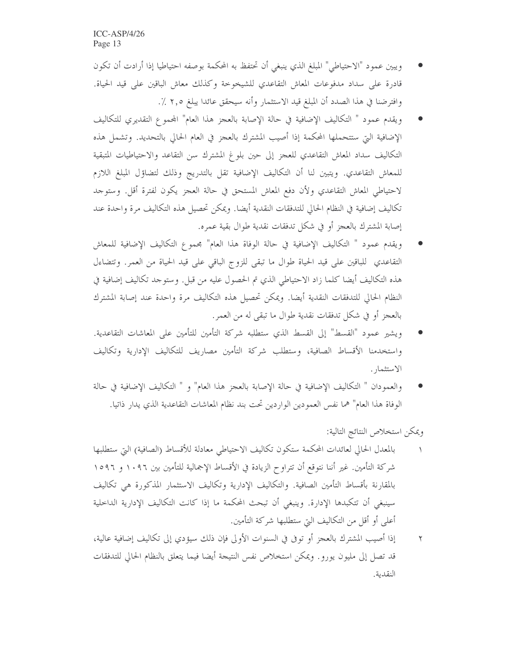- ويبين عمود "الاحتياطي" المبلغ الذي ينبغي أن تحتفظ به المحكمة بوصفه احتياطيا إذا أرادت أن تكون قادرة على سداد مدفوعات المعاش التقاعدي للشيخوخة وكذلك معاش الباقين على قيد الحياة. وافترضنا في هذا الصدد أن المبلغ قيد الاستثمار وأنه سيحقق عائدا يبلغ ٢,٥ ٪.
- ويقدم عمود " التكاليف الإضافية في حالة الإصابة بالعجز هذا العام" المحموع التقديري للتكاليف الإضافية التي ستتحملها المحكمة إذا أصيب المشترك بالعجز في العام الحالي بالتحديد. وتشمل هذه التكاليف سداد المعاش التقاعدي للعجز إلى حين بلوغ المشترك سن التقاعد والاحتياطيات المتبقية للمعاش التقاعدي. ويتبين لنا أن التكاليف الإضافية تقل بالتدريج وذلك لتضاؤل المبلغ اللازم لاحتياطي المعاش التقاعدي ولأن دفع المعاش المستحق في حالة العجز يكون لفترة أقل. وستوجد تكاليف إضافية في النظام الحالي للتدفقات النقدية أيضا. ويمكن تحصيل هذه التكاليف مرة واحدة عند إصابة المشترك بالعجز أو في شكل تدفقات نقدية طوال بقية عمره.
- ويقدم عمود " التكاليف الإضافية في حالة الوفاة هذا العام" مجموع التكاليف الإضافية للمعاش التقاعدي للباقين على قيد الحياة طوال ما تبقى للزوج الباقي على قيد الحياة من العمر. وتتضاءل هذه التكاليف أيضا كلما زاد الاحتياطي الذي تم الحصول عليه من قبل. وستوجد تكاليف إضافية في النظام الحالي للتدفقات النقدية أيضا. ويمكن تحصيل هذه التكاليف مرة واحدة عند إصابة المشترك بالعجز أو في شكل تدفقات نقدية طوال ما تبقى له من العمر .
- ويشير عمود "القسط" إلى القسط الذي ستطلبه شركة التأمين للتأمين على المعاشات التقاعدية. واستخدمنا الأقساط الصافية، وستطلب شركة التأمين مصاريف للتكاليف الإدارية وتكاليف الاستثمار .
- والعمودان " التكاليف الإضافية في حالة الإصابة بالعجز هذا العام" و " التكاليف الإضافية في حالة الوفاة هذا العام" هما نفس العمودين الواردين تحت بند نظام المعاشات التقاعدية الذي يدار ذاتيا.

ويمكن استخلاص النتائج التالية:

- بالمعدل الحالي لعائدات المحكمة ستكون تكاليف الاحتياطي معادلة للأقساط (الصافية) التي ستطلبها شركة التأمين. غير أننا نتوقع أن تتراوح الزيادة في الأقساط الإجمالية للتأمين بين ١٠٩٦ و ١٥٩٦ بالمقارنة بأقساط التأمين الصافية. والتكاليف الإدارية وتكاليف الاستثمار المذكورة هي تكاليف سينبغي أن تتكبدها الإدارة. وينبغي أن تبحث المحكمة ما إذا كانت التكاليف الإدارية الداخلية أعلى أو أقل من التكاليف التي ستطلبها شركة التأمين.
- إذا أصيب المشترك بالعجز أو توفى في السنوات الأولى فإن ذلك سيؤدي إلى تكاليف إضافية عالية،  $\blacktriangledown$ قد تصل إلى مليون يورو . ويمكن استخلاص نفس النتيجة أيضا فيما يتعلق بالنظام الحالي للتدفقات النقدية.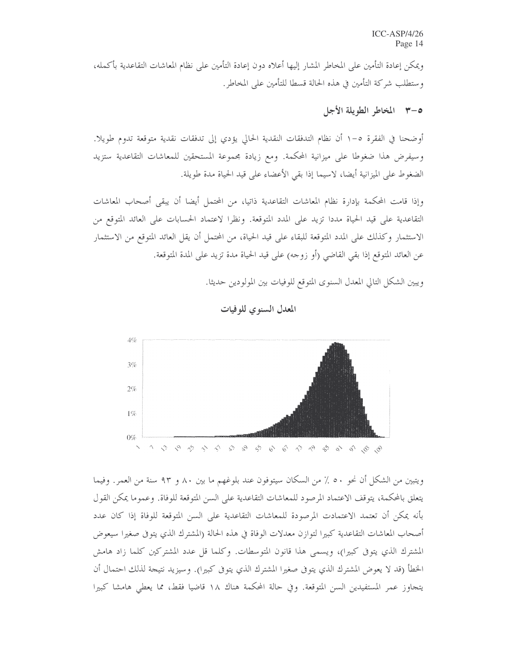ويمكن إعادة التأمين على المخاطر المشار إليها أعلاه دون إعادة التأمين على نظام المعاشات التقاعدية بأكمله، و ستطلب شركة التأمين في هذه الحالة قسطا للتأمين على المخاطر .

## 0-٣ المخاطر الطويلة الأجل

أوضحنا في الفقرة ٥–١ أن نظام التدفقات النقدية الحالي يؤدي إلى تدفقات نقدية متوقعة تدوم طويلا. وسيفرض هذا ضغوطا على ميزانية المحكمة. ومع زيادة مجموعة المستحقين للمعاشات التقاعدية ستزيد الضغوط على الميزانية أيضا، لاسيما إذا بقى الأعضاء على قيد الحياة مدة طويلة.

وإذا قامت المحكمة بإدارة نظام المعاشات التقاعدية ذاتيا، من المحتمل أيضا أن يبقى أصحاب المعاشات التقاعدية على قيد الحياة مددا تزيد على المدد المتوقعة. ونظرا لاعتماد الحسابات على العائد المتوقع من الاستثمار وكذلك على المدد المتوقعة للبقاء على قيد الحياة، من المحتمل أن يقل العائد المتوقع من الاستثمار عن العائد المتوقع إذا بقى القاضي (أو زوجه) على قيد الحياة مدة تزيد على المدة المتوقعة.

ويبين الشكل التالي المعدل السنوى المتوقع للوفيات بين المولودين حديثا.



المعدل السنوي للوفيات

ويتبين من الشكل أن نحو ٥٠ ٪ من السكان سيتوفون عند بلوغهم ما بين ٨٠ و ٩٣ سنة من العمر. وفيما يتعلق بالمحكمة، يتوقف الاعتماد المرصود للمعاشات التقاعدية على السن المتوقعة للوفاة. وعموما يمكن القول بأنه يمكن أن تعتمد الاعتمادت المرصودة للمعاشات التقاعدية على السن المتوقعة للوفاة إذا كان عدد أصحاب المعاشات التقاعدية كبيرا لتوازن معدلات الوفاة في هذه الحالة (المشترك الذي يتوفى صغيرا سيعوض المشترك الذي يتوفى كبيرا)، ويسمى هذا قانون المتوسطات. وكلما قل عدد المشتركين كلما زاد هامش الخطأ (قد لا يعوض المشترك الذي يتوفى صغيرا المشترك الذي يتوفى كبيرا). وسيزيد نتيجة لذلك احتمال أن يتجاوز عمر المستفيدين السن المتوقعة. وفي حالة المحكمة هناك ١٨ قاضيا فقط، مما يعطي هامشا كبيرا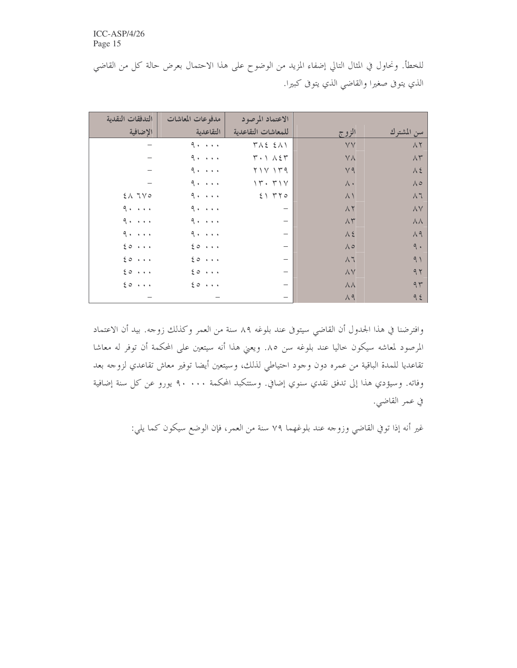للخطأ. ونحاول في المثال التالي إضفاء المزيد من الوضوح على هذا الاحتمال بعرض حالة كل من القاضي الذي يتوفى صغيرا والقاضي الذي يتوفى كبيرا.

| التدفقات النقدية            | مدفوعات المعاشات            | الاعتماد المرصود                     |                  |                                |
|-----------------------------|-----------------------------|--------------------------------------|------------------|--------------------------------|
| الاضافية                    | التقاعدية                   | للمعاشات التقاعدية                   | الزوج            | سن المشترك                     |
|                             | $9 \cdot \cdot \cdot \cdot$ | $T\wedge\Sigma$ $\Sigma\wedge\Sigma$ | ٧V               | $\wedge$ $\breve{\phantom{a}}$ |
|                             | $9 \cdot \cdot \cdot \cdot$ | $T \cdot 1 \wedge 2T$                | $\vee \wedge$    | $\wedge\curlyvee$              |
|                             | $9 \cdot \cdot \cdot \cdot$ | $Y \vee Y \vee T9$                   | $V$ 9            | $\Lambda$ 2                    |
|                             | $9 \cdot \cdot \cdot \cdot$ | 17.71                                | $\wedge\cdot$    | $\wedge \circ$                 |
| $2\land7\lor0$              | $9 \cdot \cdot \cdot \cdot$ | 51770                                | $\wedge$         | $\wedge$ 7                     |
| 9.1.1.1                     | $9 \cdot \cdot \cdot \cdot$ | $\overline{\phantom{0}}$             | $\wedge$ $\vee$  | $\wedge \vee$                  |
| $9 \cdot \cdot \cdot \cdot$ | $9 \cdot \cdot \cdot \cdot$ | $\overline{\phantom{0}}$             | $\wedge\tau$     | $\lambda\lambda$               |
| $9 \cdot \cdot \cdot \cdot$ | 9.1.1.1                     | $\overbrace{\phantom{1232211}}$      | $\Lambda$ 2      | $\Lambda$ 9                    |
| $\xi$ o $\cdots$            | 20                          | $\overbrace{\phantom{1232211}}$      | $\wedge \circ$   | 9.1                            |
| $\xi \circ \cdots$          | 20                          | $\overline{\phantom{0}}$             | $\wedge$ 7       | 9)                             |
| $\xi$ o $\cdots$            | 20                          | $\overbrace{\phantom{123221111}}$    | $\wedge\vee$     | 97                             |
| $\xi$ o $\cdots$            | $\xi \circ \cdots$          | $\overline{\phantom{0}}$             | $\lambda\lambda$ | 97                             |
|                             |                             | $\overline{\phantom{0}}$             | $\Lambda$ 9      | 92                             |

وافترضنا في هذا الجدول أن القاضي سيتوفى عند بلوغه ٨٩ سنة من العمر وكذلك زوجه. بيد أن الاعتماد المرصود لمعاشه سيكون حاليا عند بلوغه سن ٨٥. ويعني هذا أنه سيتعين على المحكمة أن توفر له معاشا تقاعديا للمدة الباقية من عمره دون وجود احتياطي لذلك، وسيتعين أيضا توفير معاش تقاعدي لزوجه بعد وفاته. وسيؤدي هذا إلى تدفق نقدي سنوي إضافي. وستتكبد المحكمة ٩٠٠٠٠ يورو عن كل سنة إضافية في عمر القاضي.

غير أنه إذا توفي القاضي وزوجه عند بلوغهما ٧٩ سنة من العمر، فإن الوضع سيكون كما يلي: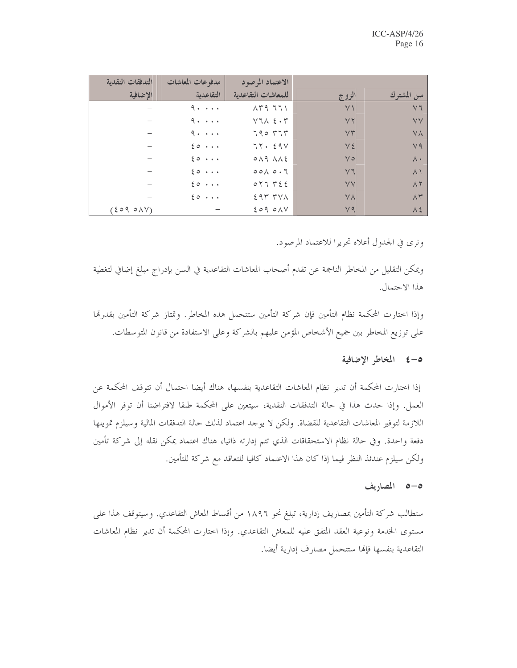| التدفقات النقدية | مدفوعات المعاشات            | الاعتماد المرصود                            |                |                    |
|------------------|-----------------------------|---------------------------------------------|----------------|--------------------|
| الاضافية         | التقاعدية                   | للمعاشات التقاعدية                          | الزوج          | سن المشترك         |
|                  | $9 \cdot \cdot \cdot \cdot$ | $\Lambda$ $4$ $7$ $1$ $1$                   | $\vee$         | $\vee$ 7           |
|                  | $9 \cdot \cdot \cdot \cdot$ | $Y$ $\uparrow \wedge$ $\uparrow$ $\uparrow$ | YY             | <b>YV</b>          |
|                  | $9 \cdot \cdot \cdot \cdot$ | $790$ $77$                                  | VT             | <b>YA</b>          |
|                  | 20                          | 75.59V                                      | $V\epsilon$    | V <sub>9</sub>     |
|                  | 20                          | $0\land 9\land\land 2$                      | $V \circ$      | $\wedge \cdot$     |
|                  | 20                          | $00 \wedge 0.7$                             | Y <sub>7</sub> | $\wedge$           |
|                  | 20                          | 017752                                      | <b>VV</b>      | $\wedge$ $\vee$    |
|                  | 20                          | $297$ $7\%$                                 | <b>YA</b>      | $\Lambda \Upsilon$ |
| (2090N)          |                             | $209$ $0 \wedge V$                          | V9             | $\lambda$ 2        |

ونري في الجدول أعلاه تحريرا للاعتماد المرصود.

ويمكن التقليل من المخاطر الناجمة عن تقدم أصحاب المعاشات التقاعدية في السن بإدراج مبلغ إضافي لتغطية هذا الاحتمال.

وإذا اختارت المحكمة نظام التأمين فإن شركة التأمين ستتحمل هذه المخاطر. وتمتاز شركة التأمين بقدرتما على توزيع المخاطر بين جميع الأشخاص المؤمن عليهم بالشركة وعلى الاستفادة من قانون المتوسطات.

### ٥-٤ المخاطر الإضافية

إذا اختارت المحكمة أن تدير نظام المعاشات التقاعدية بنفسها، هناك أيضا احتمال أن تتوقف المحكمة عن العمل. وإذا حدث هذا في حالة التدفقات النقدية، سيتعين على المحكمة طبقا لافتراضنا أن توفر الأموال اللازمة لتوفير المعاشات التقاعدية للقضاة. ولكن لا يوحد اعتماد لذلك حالة التدفقات المالية وسيلزم تمويلها دفعة واحدة. وفي حالة نظام الاستحقاقات الذي تتم إدارته ذاتيا، هناك اعتماد يمكن نقله إلى شركة تأمين ولكن سيلزم عندئذ النظر فيما إذا كان هذا الاعتماد كافيا للتعاقد مع شركة للتأمين.

### 0-0 المصاريف

ستطالب شركة التأمين بمصاريف إدارية، تبلغ نحو ١٨٩٦ من أقساط المعاش التقاعدي. وسيتوقف هذا على مستوى الخدمة ونوعية العقد المتفق عليه للمعاش التقاعدي. وإذا اختارت المحكمة أن تدير نظام المعاشات التقاعدية بنفسها فإلها ستتحمل مصارف إدارية أيضا.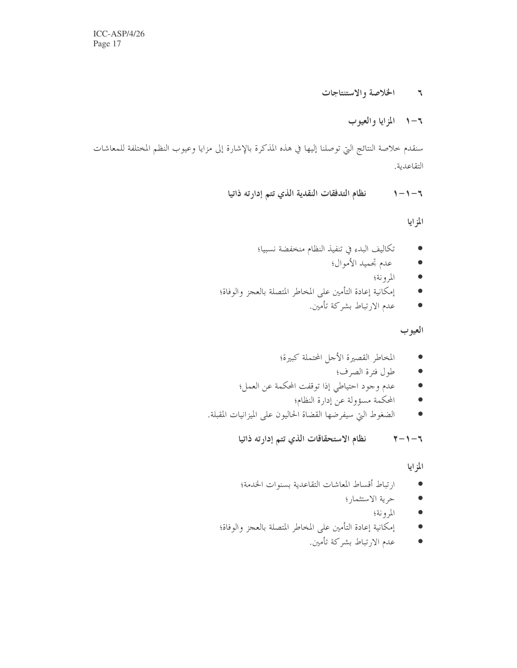#### الخلاصة والاستنتاجات  $\mathcal{L}$

# ٦–١ المزايا والعيوب

سنقدم خلاصة النتائج التي توصلنا إليها في هذه المذكرة بالإشارة إلى مزايا وعيوب النظم المختلفة للمعاشات التقاعدية.

> نظام التدفقات النقدية الذي تتم إدارته ذاتيا  $1 - 1 - 7$

> > المزايا

- تكاليف البدء في تنفيذ النظام منخفضة نسبيا؛  $\bullet$ 
	- عدم تحميد الأموال؛  $\bullet$ 
		- $\bullet$ المرونة؛
- إمكانية إعادة التأمين على المخاطر المتصلة بالعجز والوفاة؛  $\bullet$ 
	- عدم الارتباط بشركة تأمين.  $\bullet$

# العيوب

- المخاطر القصيرة الأجل المحتملة كبيرة؛  $\bullet$ 
	- طول فترة الصرف؛  $\bullet$
- عدم وجود احتياطي إذا توقفت المحكمة عن العمل؛  $\bullet$ 
	- المحكمة مسؤولة عن إدارة النظام؛  $\bullet$
- الضغوط التي سيفرضها القضاة الحاليون على الميزانيات المقبلة.  $\bullet$

نظام الاستحقاقات الذي تتم إدارته ذاتيا  $\mathbf{y} - \mathbf{y} - \mathbf{y}$ 

## المزايا

- ارتباط أقساط المعاشات التقاعدية بسنوات الخدمة؛  $\bullet$ 
	- حرية الاستثمار؛  $\bullet$ 
		- المرونة؛  $\bullet$
- إمكانية إعادة التأمين على المخاطر المتصلة بالعجز والوفاة؛  $\bullet$ 
	- عدم الارتباط بشركة تأمين.  $\bullet$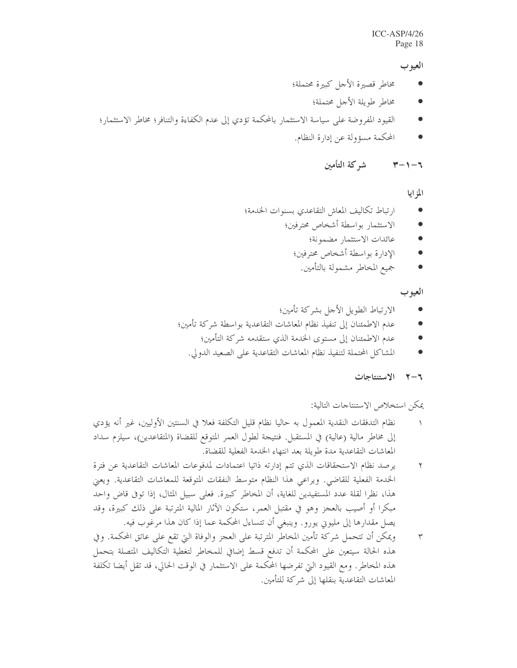### $ICC-ASP/4/26$ Page 18

### العيوب

- مخاطر قصيرة الأحل كبيرة محتملة؛
	- مخاطر طويلة الأجل محتملة؛
- القيود المفروضة على سياسة الاستثمار بالمحكمة تؤدي إلى عدم الكفاءة والتنافر؛ مخاطر الاستثمار؛
	- المحكمة مسؤولة عن إدارة النظام.

#### شركة التأمين ャートーち

المزايا

- ارتباط تكاليف المعاش التقاعدي بسنوات الخدمة؛  $\bullet$ 
	- الاستثمار بواسطة أشخاص محترفين؛
		- عائدات الاستثمار مضمونة؛  $\bullet$
		- الإدارة بواسطة أشخاص محترفين؛  $\bullet$ 
			- جميع المخاطر مشمولة بالتأمين.  $\bullet$

العيوب

- الارتباط الطويل الأحل بشركة تأمين؛
- عدم الاطمئنان إلى تنفيذ نظام المعاشات التقاعدية بواسطة شركة تأمين؛  $\bullet$ 
	- عدم الاطمئنان إلى مستوى الحدمة الذي ستقدمه شركة التأمين؛  $\bullet$
	- المشاكل المحتملة لتنفيذ نظام المعاشات التقاعدية على الصعيد الدولي.

٢-٢ الاستنتاجات

يمكن استخلاص الاستنتاجات التالية:

- نظام التدفقات النقدية المعمول به حاليا نظام قليل التكلفة فعلا في السنتين الأوليين، غير أنه يؤدي إلى مخاطر مالية (عالية) في المستقبل. فنتيجة لطول العمر المتوقع للقضاة (المتقاعدين)، سيلزم سداد المعاشات التقاعدية مدة طويلة بعد انتهاء الخدمة الفعلية للقضاة.
- يرصد نظام الاستحقاقات الذي تتم إدارته ذاتيا اعتمادات لمدفوعات المعاشات التقاعدية عن فترة  $\mathbf{r}$ الخدمة الفعلية للقاضي. ويراعي هذا النظام متوسط النفقات المتوقعة للمعاشات التقاعدية. ويعني هذا، نظرًا لقلة عدد المستفيدين للغاية، أن المخاطر كبيرة. فعلى سبيل المثال، إذا توفي قاض واحد مبكرا أو أصيب بالعجز وهو في مقتبل العمر، ستكون الآثار المالية المترتبة على ذلك كبيرة، وقد يصل مقدارها إلى مليوين يورو . وينبغي أن تتساءل المحكمة عما إذا كان هذا مرغوب فيه.
- ويمكن أن تتحمل شركة تأمين المخاطر المترتبة على العجز والوفاة التي تقع على عاتق المحكمة. وفي  $\Upsilon$ هذه الحالة سيتعين على المحكمة أن تدفع قسط إضافي للمخاطر لتغطية التكاليف المتصلة بتحمل هذه المخاطر. ومع القيود التي تفرضها المحكمة على الاستثمار في الوقت الحالي، قد تقل أيضا تكلفة المعاشات التقاعدية بنقلها إلى شركة للتأمين.